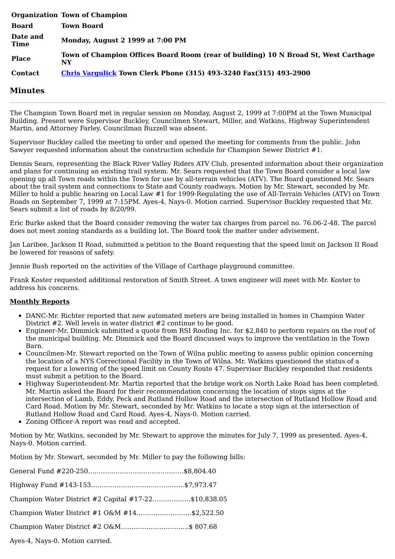|                         | <b>Organization Town of Champion</b>                                                      |
|-------------------------|-------------------------------------------------------------------------------------------|
| <b>Board</b>            | <b>Town Board</b>                                                                         |
| Date and<br><b>Time</b> | Monday, August 2 1999 at 7:00 PM                                                          |
| <b>Place</b>            | Town of Champion Offices Board Room (rear of building) 10 N Broad St, West Carthage<br>NY |
| <b>Contact</b>          | <b>Chris Vargulick Town Clerk Phone (315) 493-3240 Fax(315) 493-2900</b>                  |

## **Minutes**

The Champion Town Board met in regular session on Monday, August 2, 1999 at 7:00PM at the Town Municipal Building. Present were Supervisor Buckley, Councilmen Stewart, Miller, and Watkins, Highway Superintendent Martin, and Attorney Farley. Councilman Buzzell was absent.

Supervisor Buckley called the meeting to order and opened the meeting for comments from the public. John Sawyer requested information about the construction schedule for Champion Sewer District #1.

Dennis Sears, representing the Black River Valley Riders ATV Club, presented information about their organization and plans for continuing an existing trail system. Mr. Sears requested that the Town Board consider a local law opening up all Town roads within the Town for use by all-terrain vehicles (ATV). The Board questioned Mr. Sears about the trail system and connections to State and County roadways. Motion by Mr. Stewart, seconded by Mr. Miller to hold a public hearing on Local Law #1 for 1999-Regulating the use of All-Terrain Vehicles (ATV) on Town Roads on September 7, 1999 at 7:15PM. Ayes-4, Nays-0. Motion carried. Supervisor Buckley requested that Mr. Sears submit a list of roads by 8/20/99.

Eric Burke asked that the Board consider removing the water tax charges from parcel no. 76.06-2-48. The parcel does not meet zoning standards as a building lot. The Board took the matter under advisement.

Jan Laribee, Jackson II Road, submitted a petition to the Board requesting that the speed limit on Jackson II Road be lowered for reasons of safety.

Jennie Bush reported on the activities of the Village of Carthage playground committee.

Frank Koster requested additional restoration of Smith Street. A town engineer will meet with Mr. Koster to address his concerns.

## **Monthly Reports**

- DANC-Mr. Richter reported that new automated meters are being installed in homes in Champion Water District #2. Well levels in water district #2 continue to be good.
- Engineer-Mr. Dimmick submitted a quote from RSI Roofing Inc. for \$2,840 to perform repairs on the roof of the municipal building. Mr. Dimmick and the Board discussed ways to improve the ventilation in the Town Barn.
- Councilmen-Mr. Stewart reported on the Town of Wilna public meeting to assess public opinion concerning the location of a NYS Correctional Facility in the Town of Wilna. Mr. Watkins questioned the status of a request for a lowering of the speed limit on County Route 47. Supervisor Buckley responded that residents must submit a petition to the Board.
- Highway Superintendent-Mr. Martin reported that the bridge work on North Lake Road has been completed. Mr. Martin asked the Board for their recommendation concerning the location of stops signs at the intersection of Lamb, Eddy, Peck and Rutland Hollow Road and the intersection of Rutland Hollow Road and Card Road. Motion by Mr. Stewart, seconded by Mr. Watkins to locate a stop sign at the intersection of Rutland Hollow Road and Card Road. Ayes-4, Nays-0. Motion carried.
- Zoning Officer-A report was read and accepted.

Motion by Mr. Watkins, seconded by Mr. Stewart to approve the minutes for July 7, 1999 as presented. Ayes-4, Nays-0. Motion carried.

Motion by Mr. Stewart, seconded by Mr. Miller to pay the following bills:

| Champion Water District #2 Capital #17-22\$10,838.05 |  |
|------------------------------------------------------|--|
| Champion Water District #1 O&M #14\$2,522.50         |  |
| Champion Water District #2 O&M\$ 807.68              |  |
|                                                      |  |

Ayes-4, Nays-0. Motion carried.